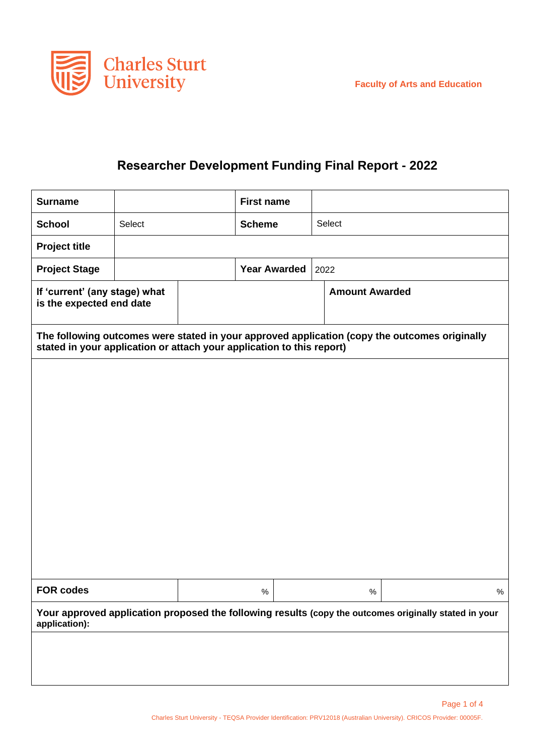

## **Researcher Development Funding Final Report - 2022**

| <b>Surname</b>                                                                                                                                                         |        | <b>First name</b> |                     |                       |  |      |  |
|------------------------------------------------------------------------------------------------------------------------------------------------------------------------|--------|-------------------|---------------------|-----------------------|--|------|--|
| <b>School</b>                                                                                                                                                          | Select | <b>Scheme</b>     |                     | Select                |  |      |  |
| <b>Project title</b>                                                                                                                                                   |        |                   |                     |                       |  |      |  |
| <b>Project Stage</b>                                                                                                                                                   |        |                   | <b>Year Awarded</b> | 2022                  |  |      |  |
| If 'current' (any stage) what<br>is the expected end date                                                                                                              |        |                   |                     | <b>Amount Awarded</b> |  |      |  |
| The following outcomes were stated in your approved application (copy the outcomes originally<br>stated in your application or attach your application to this report) |        |                   |                     |                       |  |      |  |
|                                                                                                                                                                        |        |                   |                     |                       |  |      |  |
|                                                                                                                                                                        |        |                   |                     |                       |  |      |  |
|                                                                                                                                                                        |        |                   |                     |                       |  |      |  |
|                                                                                                                                                                        |        |                   |                     |                       |  |      |  |
|                                                                                                                                                                        |        |                   |                     |                       |  |      |  |
|                                                                                                                                                                        |        |                   |                     |                       |  |      |  |
|                                                                                                                                                                        |        |                   |                     |                       |  |      |  |
|                                                                                                                                                                        |        |                   |                     |                       |  |      |  |
|                                                                                                                                                                        |        |                   |                     |                       |  |      |  |
| <b>FOR codes</b>                                                                                                                                                       |        | $\%$              |                     | $\%$                  |  | $\%$ |  |
| Your approved application proposed the following results (copy the outcomes originally stated in your<br>application):                                                 |        |                   |                     |                       |  |      |  |
|                                                                                                                                                                        |        |                   |                     |                       |  |      |  |
|                                                                                                                                                                        |        |                   |                     |                       |  |      |  |
|                                                                                                                                                                        |        |                   |                     |                       |  |      |  |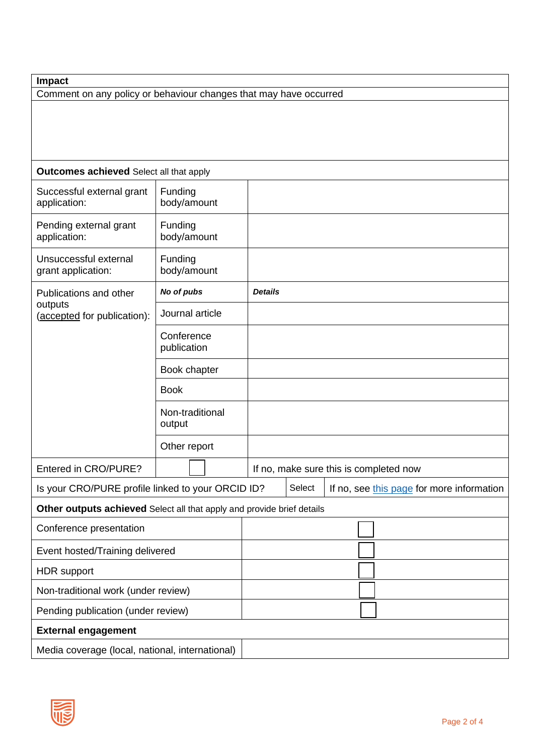Comment on any policy or behaviour changes that may have occurred

| <b>Outcomes achieved</b> Select all that apply                         |                           |                                        |        |                                           |  |  |  |  |
|------------------------------------------------------------------------|---------------------------|----------------------------------------|--------|-------------------------------------------|--|--|--|--|
| Successful external grant<br>application:                              | Funding<br>body/amount    |                                        |        |                                           |  |  |  |  |
| Pending external grant<br>application:                                 | Funding<br>body/amount    |                                        |        |                                           |  |  |  |  |
| Unsuccessful external<br>grant application:                            | Funding<br>body/amount    |                                        |        |                                           |  |  |  |  |
| Publications and other                                                 | No of pubs                | <b>Details</b>                         |        |                                           |  |  |  |  |
| outputs<br>(accepted for publication):                                 | Journal article           |                                        |        |                                           |  |  |  |  |
|                                                                        | Conference<br>publication |                                        |        |                                           |  |  |  |  |
|                                                                        | Book chapter              |                                        |        |                                           |  |  |  |  |
|                                                                        | <b>Book</b>               |                                        |        |                                           |  |  |  |  |
|                                                                        | Non-traditional<br>output |                                        |        |                                           |  |  |  |  |
|                                                                        | Other report              |                                        |        |                                           |  |  |  |  |
| Entered in CRO/PURE?                                                   |                           | If no, make sure this is completed now |        |                                           |  |  |  |  |
| Is your CRO/PURE profile linked to your ORCID ID?                      |                           |                                        | Select | If no, see this page for more information |  |  |  |  |
| Other outputs achieved Select all that apply and provide brief details |                           |                                        |        |                                           |  |  |  |  |
| Conference presentation                                                |                           |                                        |        |                                           |  |  |  |  |
| Event hosted/Training delivered                                        |                           |                                        |        |                                           |  |  |  |  |
| <b>HDR</b> support                                                     |                           |                                        |        |                                           |  |  |  |  |
| Non-traditional work (under review)                                    |                           |                                        |        |                                           |  |  |  |  |
| Pending publication (under review)                                     |                           |                                        |        |                                           |  |  |  |  |
| <b>External engagement</b>                                             |                           |                                        |        |                                           |  |  |  |  |
| Media coverage (local, national, international)                        |                           |                                        |        |                                           |  |  |  |  |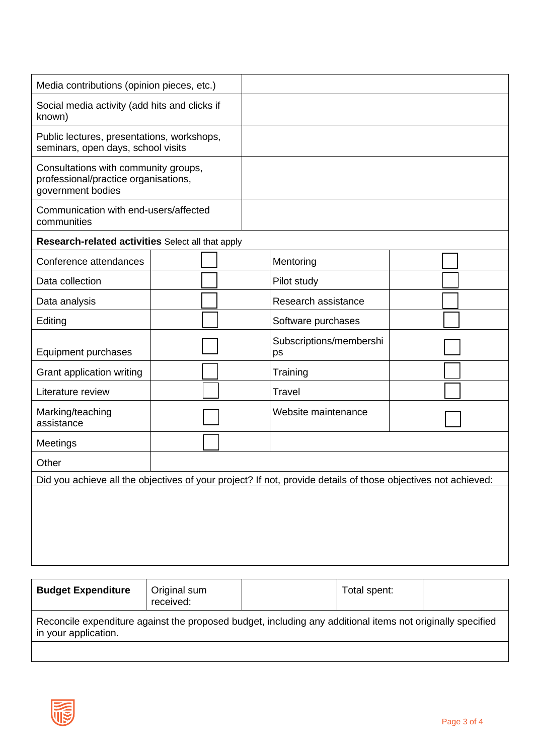| Media contributions (opinion pieces, etc.)                                                                    |  |  |  |                               |  |  |  |  |
|---------------------------------------------------------------------------------------------------------------|--|--|--|-------------------------------|--|--|--|--|
| Social media activity (add hits and clicks if<br>known)                                                       |  |  |  |                               |  |  |  |  |
| Public lectures, presentations, workshops,<br>seminars, open days, school visits                              |  |  |  |                               |  |  |  |  |
| Consultations with community groups,<br>professional/practice organisations,<br>government bodies             |  |  |  |                               |  |  |  |  |
| Communication with end-users/affected<br>communities                                                          |  |  |  |                               |  |  |  |  |
| Research-related activities Select all that apply                                                             |  |  |  |                               |  |  |  |  |
| Conference attendances                                                                                        |  |  |  | Mentoring                     |  |  |  |  |
| Data collection                                                                                               |  |  |  | Pilot study                   |  |  |  |  |
| Data analysis                                                                                                 |  |  |  | Research assistance           |  |  |  |  |
| Editing                                                                                                       |  |  |  | Software purchases            |  |  |  |  |
| Equipment purchases                                                                                           |  |  |  | Subscriptions/membershi<br>ps |  |  |  |  |
| Grant application writing                                                                                     |  |  |  | Training                      |  |  |  |  |
| Literature review                                                                                             |  |  |  | <b>Travel</b>                 |  |  |  |  |
| Marking/teaching<br>assistance                                                                                |  |  |  | Website maintenance           |  |  |  |  |
| Meetings                                                                                                      |  |  |  |                               |  |  |  |  |
| Other                                                                                                         |  |  |  |                               |  |  |  |  |
| Did you achieve all the objectives of your project? If not, provide details of those objectives not achieved: |  |  |  |                               |  |  |  |  |
|                                                                                                               |  |  |  |                               |  |  |  |  |
|                                                                                                               |  |  |  |                               |  |  |  |  |
|                                                                                                               |  |  |  |                               |  |  |  |  |
|                                                                                                               |  |  |  |                               |  |  |  |  |
|                                                                                                               |  |  |  |                               |  |  |  |  |

| <b>Budget Expenditure</b>                                                                                                          | Original sum<br>received: |  | Total spent: |  |  |  |  |  |
|------------------------------------------------------------------------------------------------------------------------------------|---------------------------|--|--------------|--|--|--|--|--|
| Reconcile expenditure against the proposed budget, including any additional items not originally specified<br>in your application. |                           |  |              |  |  |  |  |  |
|                                                                                                                                    |                           |  |              |  |  |  |  |  |

爬